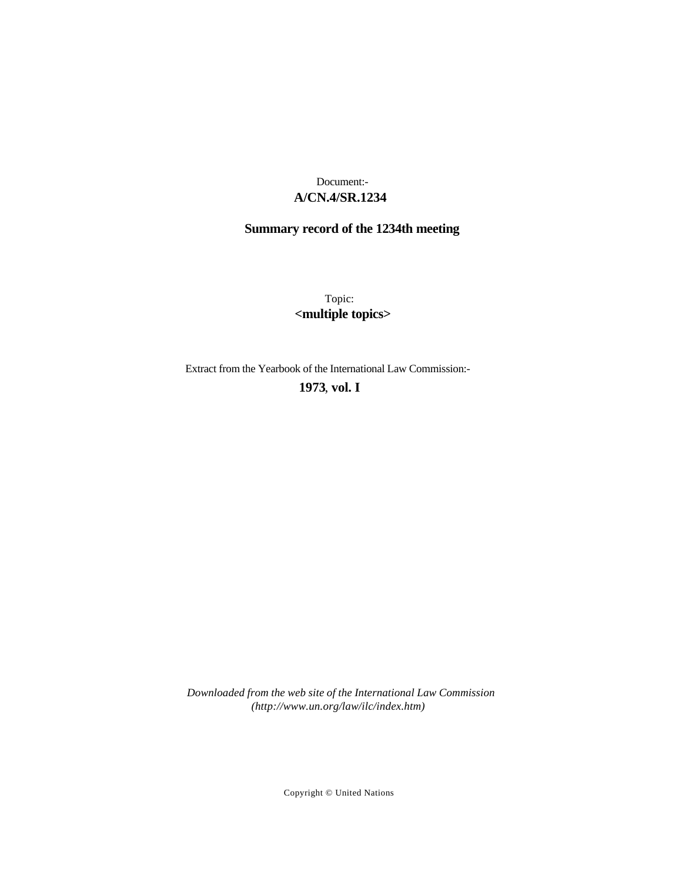# **A/CN.4/SR.1234** Document:-

# **Summary record of the 1234th meeting**

Topic: **<multiple topics>**

Extract from the Yearbook of the International Law Commission:-

## **1973** , **vol. I**

*Downloaded from the web site of the International Law Commission (http://www.un.org/law/ilc/index.htm)*

Copyright © United Nations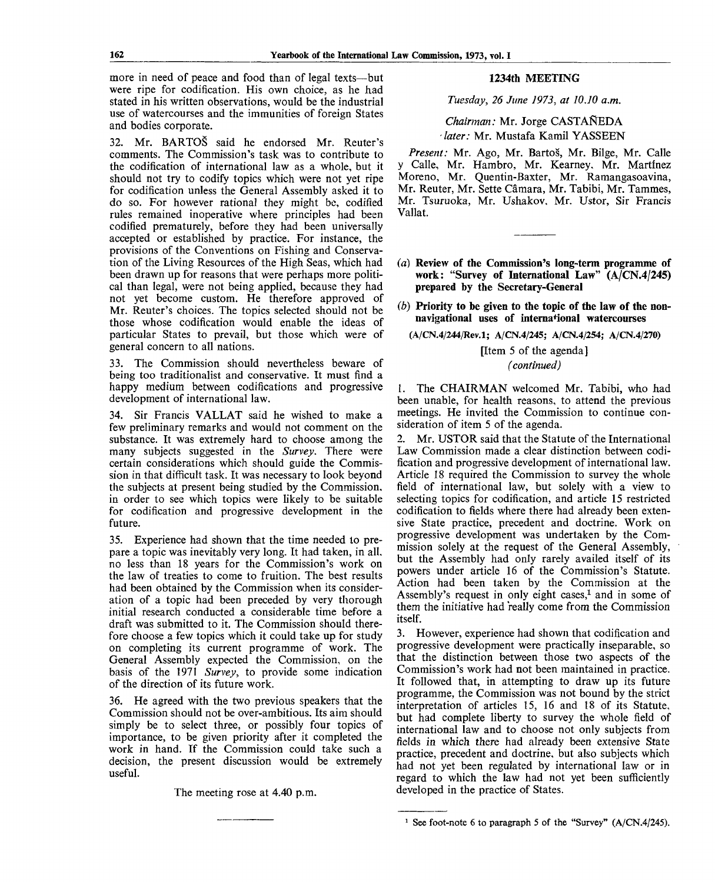more in need of peace and food than of legal texts—but were ripe for codification. His own choice, as he had stated in his written observations, would be the industrial use of watercourses and the immunities of foreign States and bodies corporate.

32. Mr. BARTOS said he endorsed Mr. Reuter's comments. The Commission's task was to contribute to the codification of international law as a whole, but it should not try to codify topics which were not yet ripe for codification unless the General Assembly asked it to do so. For however rational they might be, codified rules remained inoperative where principles had been codified prematurely, before they had been universally accepted or established by practice. For instance, the provisions of the Conventions on Fishing and Conservation of the Living Resources of the High Seas, which had been drawn up for reasons that were perhaps more political than legal, were not being applied, because they had not yet become custom. He therefore approved of Mr. Reuter's choices. The topics selected should not be those whose codification would enable the ideas of particular States to prevail, but those which were of general concern to all nations.

33. The Commission should nevertheless beware of being too traditionalist and conservative. It must find a happy medium between codifications and progressive development of international law.

34. Sir Francis VALLAT said he wished to make a few preliminary remarks and would not comment on the substance. It was extremely hard to choose among the many subjects suggested in the *Survey.* There were certain considerations which should guide the Commission in that difficult task. It was necessary to look beyond the subjects at present being studied by the Commission, in order to see which topics were likely to be suitable for codification and progressive development in the future.

35. Experience had shown that the time needed to prepare a topic was inevitably very long. It had taken, in all. no less than 18 years for the Commission's work on the law of treaties to come to fruition. The best results had been obtained by the Commission when its consideration of a topic had been preceded by very thorough initial research conducted a considerable time before a draft was submitted to it. The Commission should therefore choose a few topics which it could take up for study on completing its current programme of work. The General Assembly expected the Commission, on the basis of the 1971 *Survey,* to provide some indication of the direction of its future work.

36. He agreed with the two previous speakers that the Commission should not be over-ambitious. Its aim should simply be to select three, or possibly four topics of importance, to be given priority after it completed the work in hand. If the Commission could take such a decision, the present discussion would be extremely useful.

The meeting rose at 4.40 p.m.

#### **1234th** MEETING

*Tuesday, 26 June 1973, at 10.10 a.m.*

*Chairman:* Mr. Jorge CASTANEDA - *later:* Mr. Mustafa Kamil YASSEEN

*Present:* Mr. Ago, Mr. Bartos, Mr. Bilge, Mr. Calle y Calle, Mr. Hambro, Mr. Kearney. Mr. Martinez Moreno, Mr. Quentin-Baxter, Mr. Ramangasoavina, Mr. Reuter, Mr. Sette Câmara, Mr. Tabibi, Mr. Tammes, Mr. Tsuruoka, Mr. Ushakov. Mr. Ustor, Sir Francis Vallat.

- *(a)* **Review of the Commission's long-term programme of work: "Survey of International Law" (A/CN.4/245) prepared by the Secretary-General**
- *(b)* **Priority to be given to the topic of the law of the nonnavigational uses of international watercourses**

(A/CN.4/244/Rev.l; A/CN.4/245; A/CN.4/254; A/CN.4/270)

[Item 5 of the agenda] *(continued)*

1. The CHAIRMAN welcomed Mr. Tabibi, who had been unable, for health reasons, to attend the previous meetings. He invited the Commission to continue consideration of item 5 of the agenda.

2. Mr. USTOR said that the Statute of the International Law Commission made a clear distinction between codification and progressive development of international law. Article 18 required the Commission to survey the whole field of international law, but solely with a view to selecting topics for codification, and article 15 restricted codification to fields where there had already been extensive State practice, precedent and doctrine. Work on progressive development was undertaken by the Commission solely at the request of the General Assembly, but the Assembly had only rarely availed itself of its powers under article 16 of the Commission's Statute. Action had been taken by the Commission at the Assembly's request in only eight cases,<sup>1</sup> and in some of them the initiative had really come from the Commission itself.

3. However, experience had shown that codification and progressive development were practically inseparable, so that the distinction between those two aspects of the Commission's work had not been maintained in practice. It followed that, in attempting to draw up its future programme, the Commission was not bound by the strict interpretation of articles 15, 16 and 18 of its Statute, but had complete liberty to survey the whole field of international law and to choose not only subjects from fields in which there had already been extensive State practice, precedent and doctrine, but also subjects which had not yet been regulated by international law or in regard to which the law had not yet been sufficiently developed in the practice of States.

<sup>&</sup>lt;sup>1</sup> See foot-note 6 to paragraph 5 of the "Survey"  $(A/CN.4/245)$ .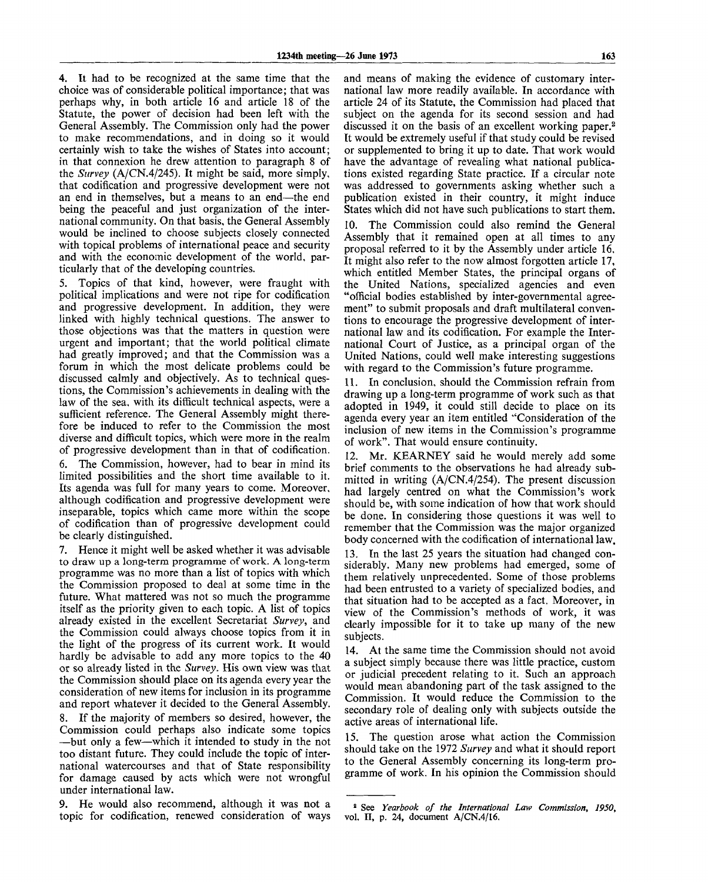4. It had to be recognized at the same time that the choice was of considerable political importance; that was perhaps why, in both article 16 and article 18 of the Statute, the power of decision had been left with the General Assembly. The Commission only had the power to make recommendations, and in doing so it would certainly wish to take the wishes of States into account; in that connexion he drew attention to paragraph 8 of the *Survey* (A/CN.4/245). It might be said, more simply, that codification and progressive development were not an end in themselves, but a means to an end—the end being the peaceful and just organization of the international community. On that basis, the General Assembly would be inclined to choose subjects closely connected with topical problems of international peace and security and with the economic development of the world, particularly that of the developing countries.

5. Topics of that kind, however, were fraught with political implications and were not ripe for codification and progressive development. In addition, they were linked with highly technical questions. The answer to those objections was that the matters in question were urgent and important; that the world political climate had greatly improved; and that the Commission was a forum in which the most delicate problems could be discussed calmly and objectively. As to technical questions, the Commission's achievements in dealing with the law of the sea, with its difficult technical aspects, were a sufficient reference. The General Assembly might therefore be induced to refer to the Commission the most diverse and difficult topics, which were more in the realm of progressive development than in that of codification. 6. The Commission, however, had to bear in mind its

limited possibilities and the short time available to it. Its agenda was full for many years to come. Moreover, although codification and progressive development were inseparable, topics which came more within the scope of codification than of progressive development could be clearly distinguished.

7. Hence it might well be asked whether it was advisable to draw up a long-term programme of work. A long-term programme was no more than a list of topics with which the Commission proposed to deal at some time in the future. What mattered was not so much the programme itself as the priority given to each topic. A list of topics already existed in the excellent Secretariat *Survey,* and the Commission could always choose topics from it in the light of the progress of its current work. It would hardly be advisable to add any more topics to the 40 or so already listed in the *Survey.* His own view was that the Commission should place on its agenda every year the consideration of new items for inclusion in its programme and report whatever it decided to the General Assembly.

8. If the majority of members so desired, however, the Commission could perhaps also indicate some topics —but only a few—which it intended to study in the not too distant future. They could include the topic of international watercourses and that of State responsibility for damage caused by acts which were not wrongful under international law.

9. He would also recommend, although it was not a topic for codification, renewed consideration of ways and means of making the evidence of customary international law more readily available. In accordance with article 24 of its Statute, the Commission had placed that subject on the agenda for its second session and had discussed it on the basis of an excellent working paper.<sup>2</sup> It would be extremely useful if that study could be revised or supplemented to bring it up to date. That work would have the advantage of revealing what national publications existed regarding State practice. If a circular note was addressed to governments asking whether such a publication existed in their country, it might induce States which did not have such publications to start them.

10. The Commission could also remind the General Assembly that it remained open at all times to any proposal referred to it by the Assembly under article 16. It might also refer to the now almost forgotten article 17, which entitled Member States, the principal organs of the United Nations, specialized agencies and even "official bodies established by inter-governmental agreement" to submit proposals and draft multilateral conventions to encourage the progressive development of international law and its codification. For example the International Court of Justice, as a principal organ of the United Nations, could well make interesting suggestions with regard to the Commission's future programme.

11. In conclusion, should the Commission refrain from drawing up a long-term programme of work such as that adopted in 1949, it could still decide to place on its agenda every year an item entitled "Consideration of the inclusion of new items in the Commission's programme of work". That would ensure continuity.

Mr. KEARNEY said he would merely add some brief comments to the observations he had already submitted in writing (A/CN.4/254). The present discussion had largely centred on what the Commission's work should be, with some indication of how that work should be done. In considering those questions it was well to remember that the Commission was the major organized body concerned with the codification of international law.

13. In the last 25 years the situation had changed considerably. Many new problems had emerged, some of them relatively unprecedented. Some of those problems had been entrusted to a variety of specialized bodies, and that situation had to be accepted as a fact. Moreover, in view of the Commission's methods of work, it was clearly impossible for it to take up many of the new subjects.

14. At the same time the Commission should not avoid a subject simply because there was little practice, custom or judicial precedent relating to it. Such an approach would mean abandoning part of the task assigned to the Commission. It would reduce the Commission to the secondary role of dealing only with subjects outside the active areas of international life.

15. The question arose what action the Commission should take on the 1972 *Survey* and what it should report to the General Assembly concerning its long-term programme of work. In his opinion the Commission should

<sup>2</sup>  **See** *Yearbook of the International Law Commission, 1950,* vol. **II, p. 24,** document A/CN.4/16.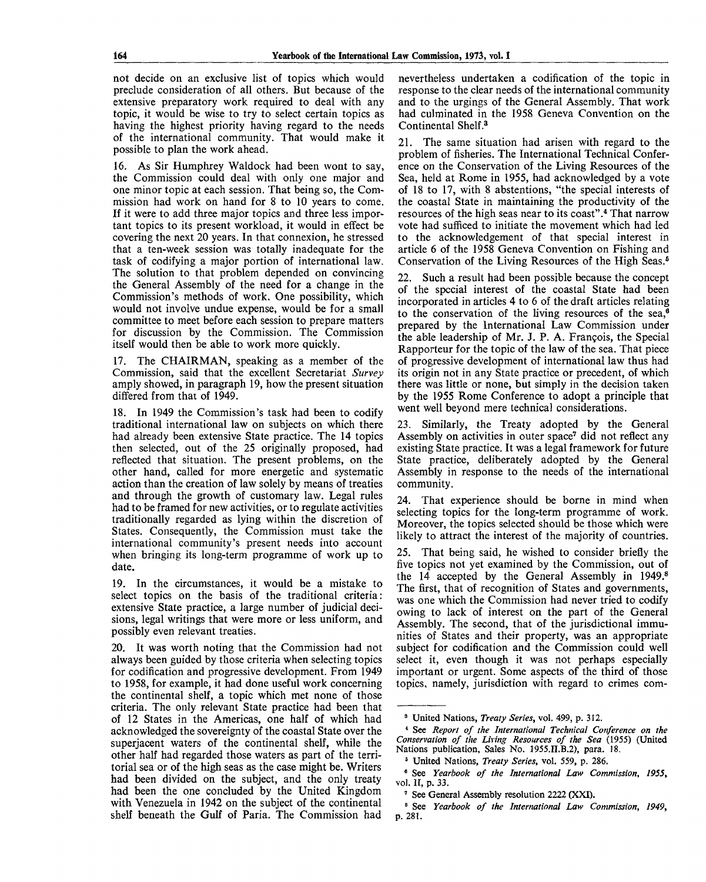not decide on an exclusive list of topics which would preclude consideration of all others. But because of the extensive preparatory work required to deal with any topic, it would be wise to try to select certain topics as having the highest priority having regard to the needs of the international community. That would make it possible to plan the work ahead.

16. As Sir Humphrey Waldock had been wont to say, the Commission could deal with only one major and one minor topic at each session. That being so, the Commission had work on hand for 8 to 10 years to come. If it were to add three major topics and three less important topics to its present workload, it would in effect be covering the next 20 years. In that connexion, he stressed that a ten-week session was totally inadequate for the task of codifying a major portion of international law. The solution to that problem depended on convincing the General Assembly of the need for a change in the Commission's methods of work. One possibility, which would not involve undue expense, would be for a small committee to meet before each session to prepare matters for discussion by the Commission. The Commission itself would then be able to work more quickly.

17. The CHAIRMAN, speaking as a member of the Commission, said that the excellent Secretariat *Survey* amply showed, in paragraph 19, how the present situation differed from that of 1949.

18. In 1949 the Commission's task had been to codify traditional international law on subjects on which there had already been extensive State practice. The 14 topics then selected, out of the 25 originally proposed, had reflected that situation. The present problems, on the other hand, called for more energetic and systematic action than the creation of law solely by means of treaties and through the growth of customary law. Legal rules had to be framed for new activities, or to regulate activities traditionally regarded as lying within the discretion of States. Consequently, the Commission must take the international community's present needs into account when bringing its long-term programme of work up to date.

19. In the circumstances, it would be a mistake to select topics on the basis of the traditional criteria: extensive State practice, a large number of judicial decisions, legal writings that were more or less uniform, and possibly even relevant treaties.

20. It was worth noting that the Commission had not always been guided by those criteria when selecting topics for codification and progressive development. From 1949 to 1958, for example, it had done useful work concerning the continental shelf, a topic which met none of those criteria. The only relevant State practice had been that of 12 States in the Americas, one half of which had acknowledged the sovereignty of the coastal State over the superjacent waters of the continental shelf, while the other half had regarded those waters as part of the territorial sea or of the high seas as the case might be. Writers had been divided on the subject, and the only treaty had been the one concluded by the United Kingdom with Venezuela in 1942 on the subject of the continental shelf beneath the Gulf of Paria. The Commission had

nevertheless undertaken a codification of the topic in response to the clear needs of the international community and to the urgings of the General Assembly. That work had culminated in the 1958 Geneva Convention on the Continental Shelf.<sup>3</sup>

21. The same situation had arisen with regard to the problem of fisheries. The International Technical Conference on the Conservation of the Living Resources of the Sea, held at Rome in 1955, had acknowledged by a vote of 18 to 17, with 8 abstentions, "the special interests of the coastal State in maintaining the productivity of the resources of the high seas near to its coast".<sup>4</sup> That narrow vote had sufficed to initiate the movement which had led to the acknowledgement of that special interest in article 6 of the 1958 Geneva Convention on Fishing and Conservation of the Living Resources of the High Seas.<sup>8</sup>

22. Such a result had been possible because the concept of the special interest of the coastal State had been incorporated in articles 4 to 6 of the draft articles relating to the conservation of the living resources of the sea,<sup>6</sup> prepared by the International Law Commission under the able leadership of Mr. J. P. A. Francois, the Special Rapporteur for the topic of the law of the sea. That piece of progressive development of international law thus had its origin not in any State practice or precedent, of which there was little or none, but simply in the decision taken by the 1955 Rome Conference to adopt a principle that went well beyond mere technical considerations.

23. Similarly, the Treaty adopted by the General Assembly on activities in outer space<sup>7</sup> did not reflect any existing State practice. It was a legal framework for future State practice, deliberately adopted by the General Assembly in response to the needs of the international community.

24. That experience should be borne in mind when selecting topics for the long-term programme of work. Moreover, the topics selected should be those which were likely to attract the interest of the majority of countries.

25. That being said, he wished to consider briefly the five topics not yet examined by the Commission, out of the 14 accepted by the General Assembly in 1949.<sup>8</sup> The first, that of recognition of States and governments, was one which the Commission had never tried to codify owing to lack of interest on the part of the General Assembly. The second, that of the jurisdictional immunities of States and their property, was an appropriate subject for codification and the Commission could well select it, even though it was not perhaps especially important or urgent. Some aspects of the third of those topics, namely, jurisdiction with regard to crimes com-

s United Nations, *Treaty Series,* vol. 499, p. 312.

<sup>4</sup> See *Report of the International Technical Conference on the Conservation of the Living Resources of the Sea* (1955) (United Nations publication, Sales No. 1955.II.B.2), para. 18.

<sup>5</sup> United Nations, *Treaty Series,* vol. 559, p. 286.

<sup>6</sup> See *Yearbook of the International Law Commission, 1955,* vol. *11,* p. 33.

<sup>&#</sup>x27; See General Assembly resolution 2222 (XXI).

<sup>8</sup> See *Yearbook of the International Law Commission, 1949,* p. 281.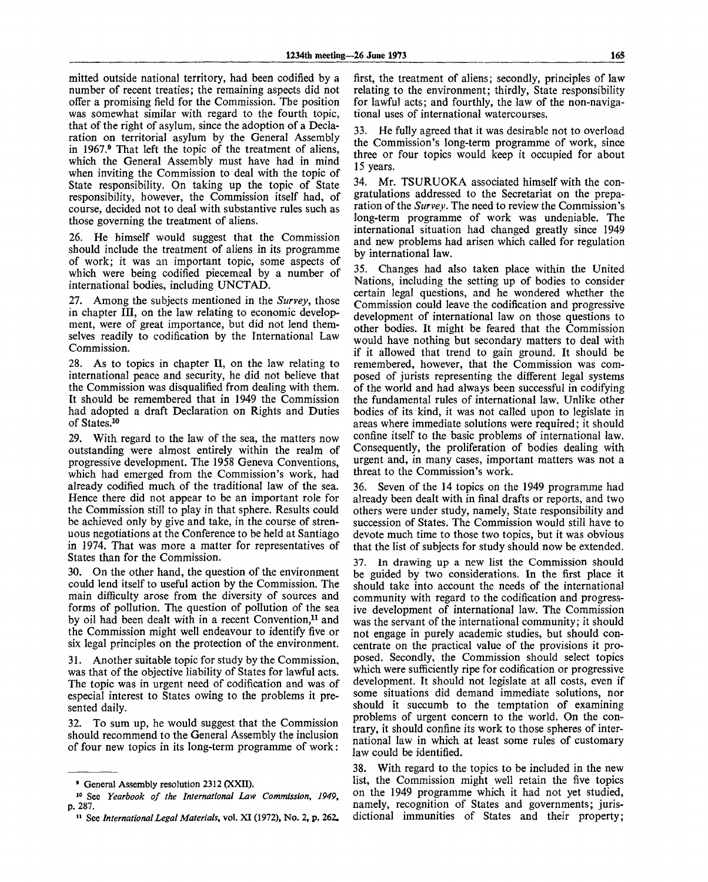mitted outside national territory, had been codified by a number of recent treaties; the remaining aspects did not offer a promising field for the Commission. The position was somewhat similar with regard to the fourth topic, that of the right of asylum, since the adoption of a Declaration on territorial asylum by the General Assembly in 1967.<sup>9</sup> That left the topic of the treatment of aliens, which the General Assembly must have had in mind when inviting the Commission to deal with the topic of State responsibility. On taking up the topic of State responsibility, however, the Commission itself had, of course, decided not to deal with substantive rules such as those governing the treatment of aliens.

26. He himself would suggest that the Commission should include the treatment of aliens in its programme of work; it was an important topic, some aspects of which were being codified piecemeal by a number of international bodies, including UNCTAD.

27. Among the subjects mentioned in the *Survey,* those in chapter III, on the law relating to economic development, were of great importance, but did not lend themselves readily to codification by the International Law Commission.

28. As to topics in chapter II, on the law relating to international peace and security, he did not believe that the Commission was disqualified from dealing with them. It should be remembered that in 1949 the Commission had adopted a draft Declaration on Rights and Duties of States.<sup>10</sup>

29. With regard to the law of the sea, the matters now outstanding were almost entirely within the realm of progressive development. The 1958 Geneva Conventions, which had emerged from the Commission's work, had already codified much of the traditional law of the sea. Hence there did not appear to be an important role for the Commission still to play in that sphere. Results could be achieved only by give and take, in the course of strenuous negotiations at the Conference to be held at Santiago in 1974. That was more a matter for representatives of States than for the Commission.

30. On the other hand, the question of the environment could lend itself to useful action by the Commission. The main difficulty arose from the diversity of sources and forms of pollution. The question of pollution of the sea by oil had been dealt with in a recent Convention,<sup>11</sup> and the Commission might well endeavour to identify five or six legal principles on the protection of the environment.

31. Another suitable topic for study by the Commission, was that of the objective liability of States for lawful acts. The topic was in urgent need of codification and was of especial interest to States owing to the problems it presented daily.

32. To sum up, he would suggest that the Commission should recommend to the General Assembly the inclusion of four new topics in its long-term programme of work:

first, the treatment of aliens; secondly, principles of law relating to the environment; thirdly, State responsibility for lawful acts; and fourthly, the law of the non-navigational uses of international watercourses.

33. He fully agreed that it was desirable not to overload the Commission's long-term programme of work, since three or four topics would keep it occupied for about 15 years.

34. Mr. TSURUOKA associated himself with the congratulations addressed to the Secretariat on the preparation of the *Survey.* The need to review the Commission's long-term programme of work was undeniable. The international situation had changed greatly since 1949 and new problems had arisen which called for regulation by international law.

35. Changes had also taken place within the United Nations, including the setting up of bodies to consider certain legal questions, and he wondered whether the Commission could leave the codification and progressive development of international law on those questions to other bodies. It might be feared that the Commission would have nothing but secondary matters to deal with if it allowed that trend to gain ground. It should be remembered, however, that the Commission was composed of jurists representing the different legal systems of the world and had always been successful in codifying the fundamental rules of international law. Unlike other bodies of its kind, it was not called upon to legislate in areas where immediate solutions were required; it should confine itself to the basic problems of international law. Consequently, the proliferation of bodies dealing with urgent and, in many cases, important matters was not a threat to the Commission's work.

36. Seven of the 14 topics on the 1949 programme had already been dealt with in final drafts or reports, and two others were under study, namely, State responsibility and succession of States. The Commission would still have to devote much time to those two topics, but it was obvious that the list of subjects for study should now be extended.

In drawing up a new list the Commission should be guided by two considerations. In the first place it should take into account the needs of the international community with regard to the codification and progressive development of international law. The Commission was the servant of the international community; it should not engage in purely academic studies, but should concentrate on the practical value of the provisions it proposed. Secondly, the Commission should select topics which were sufficiently ripe for codification or progressive development. It should not legislate at all costs, even if some situations did demand immediate solutions, nor should it succumb to the temptation of examining problems of urgent concern to the world. On the contrary, it should confine its work to those spheres of international law in which at least some rules of customary law could be identified.

38. With regard to the topics to be included in the new list, the Commission might well retain the five topics on the 1949 programme which it had not yet studied, namely, recognition of States and governments; jurisdictional immunities of States and their property;

<sup>»</sup> General Assembly resolution 2312 (XXII).

<sup>10</sup> See *Yearbook of the International Law Commission, 1949,* p. 287.

<sup>&</sup>lt;sup>11</sup> See International Legal Materials, vol. XI (1972), No. 2, p. 262.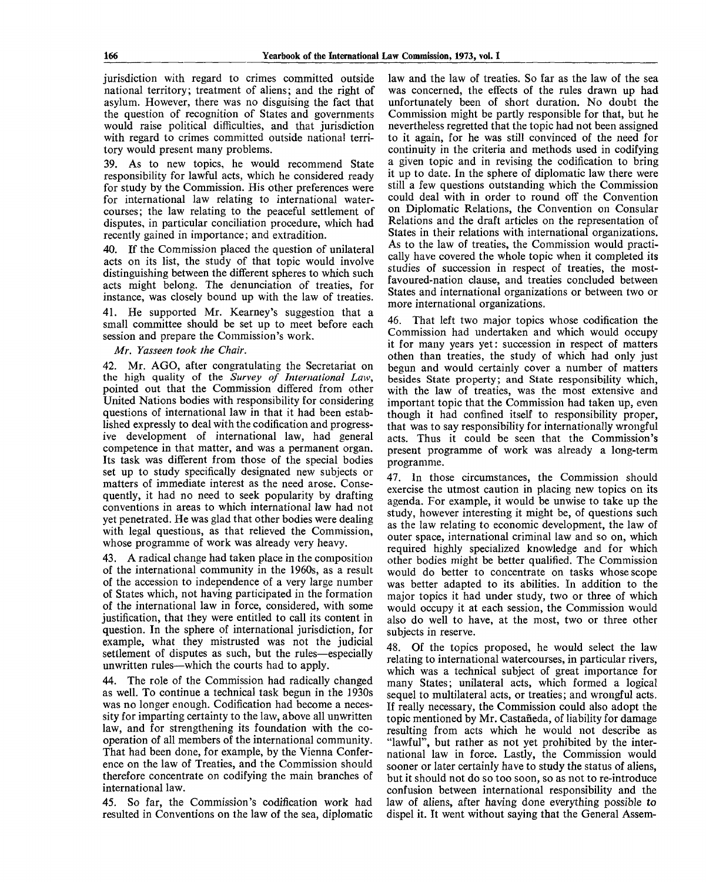jurisdiction with regard to crimes committed outside national territory; treatment of aliens; and the right of asylum. However, there was no disguising the fact that the question of recognition of States and governments would raise political difficulties, and that jurisdiction with regard to crimes committed outside national territory would present many problems.

39. As to new topics, he would recommend State responsibility for lawful acts, which he considered ready for study by the Commission. His other preferences were for international law relating to international watercourses; the law relating to the peaceful settlement of disputes, in particular conciliation procedure, which had recently gained in importance; and extradition.

40. If the Commission placed the question of unilateral acts on its list, the study of that topic would involve distinguishing between the different spheres to which such acts might belong. The denunciation of treaties, for instance, was closely bound up with the law of treaties.

41. He supported Mr. Kearney's suggestion that a small committee should be set up to meet before each session and prepare the Commission's work.

## *Mr. Yasseen took the Chair.*

42. Mr. AGO, after congratulating the Secretariat on the high quality of the *Survey of International Law,* pointed out that the Commission differed from other United Nations bodies with responsibility for considering questions of international law in that it had been established expressly to deal with the codification and progressive development of international law, had general competence in that matter, and was a permanent organ. Its task was different from those of the special bodies set up to study specifically designated new subjects or matters of immediate interest as the need arose. Consequently, it had no need to seek popularity by drafting conventions in areas to which international law had not yet penetrated. He was glad that other bodies were dealing with legal questions, as that relieved the Commission, whose programme of work was already very heavy.

43. A radical change had taken place in the composition of the international community in the 1960s, as a result of the accession to independence of a very large number of States which, not having participated in the formation of the international law in force, considered, with some justification, that they were entitled to call its content in question. In the sphere of international jurisdiction, for example, what they mistrusted was not the judicial settlement of disputes as such, but the rules—especially unwritten rules—which the courts had to apply.

44. The role of the Commission had radically changed as well. To continue a technical task begun in the 1930s was no longer enough. Codification had become a necessity for imparting certainty to the law, above all unwritten law, and for strengthening its foundation with the cooperation of all members of the international community. That had been done, for example, by the Vienna Conference on the law of Treaties, and the Commission should therefore concentrate on codifying the main branches of international law.

45. So far, the Commission's codification work had resulted in Conventions on the law of the sea, diplomatic law and the law of treaties. So far as the law of the sea was concerned, the effects of the rules drawn up had unfortunately been of short duration. No doubt the Commission might be partly responsible for that, but he nevertheless regretted that the topic had not been assigned to it again, for he was still convinced of the need for continuity in the criteria and methods used in codifying a given topic and in revising the codification to bring it up to date. In the sphere of diplomatic law there were still a few questions outstanding which the Commission could deal with in order to round off the Convention on Diplomatic Relations, the Convention on Consular Relations and the draft articles on the representation of States in their relations with international organizations. As to the law of treaties, the Commission would practically have covered the whole topic when it completed its studies of succession in respect of treaties, the mostfavoured-nation clause, and treaties concluded between States and international organizations or between two or more international organizations.

46. That left two major topics whose codification the Commission had undertaken and which would occupy it for many years yet: succession in respect of matters othen than treaties, the study of which had only just begun and would certainly cover a number of matters besides State property; and State responsibility which, with the law of treaties, was the most extensive and important topic that the Commission had taken up, even though it had confined itself to responsibility proper, that was to say responsibility for internationally wrongful acts. Thus it could be seen that the Commission's present programme of work was already a long-term programme.

47. In those circumstances, the Commission should exercise the utmost caution in placing new topics on its agenda. For example, it would be unwise to take up the study, however interesting it might be, of questions such as the law relating to economic development, the law of outer space, international criminal law and so on, which required highly specialized knowledge and for which other bodies might be better qualified. The Commission would do better to concentrate on tasks whose scope was better adapted to its abilities. In addition to the major topics it had under study, two or three of which would occupy it at each session, the Commission would also do well to have, at the most, two or three other subjects in reserve.

48. Of the topics proposed, he would select the law relating to international watercourses, in particular rivers, which was a technical subject of great importance for many States; unilateral acts, which formed a logical sequel to multilateral acts, or treaties; and wrongful acts. If really necessary, the Commission could also adopt the topic mentioned by Mr. Castafieda, of liability for damage resulting from acts which he would not describe as "lawful", but rather as not yet prohibited by the international law in force. Lastly, the Commission would sooner or later certainly have to study the status of aliens, but it should not do so too soon, so as not to re-introduce confusion between international responsibility and the law of aliens, after having done everything possible to dispel it. It went without saying that the General Assem